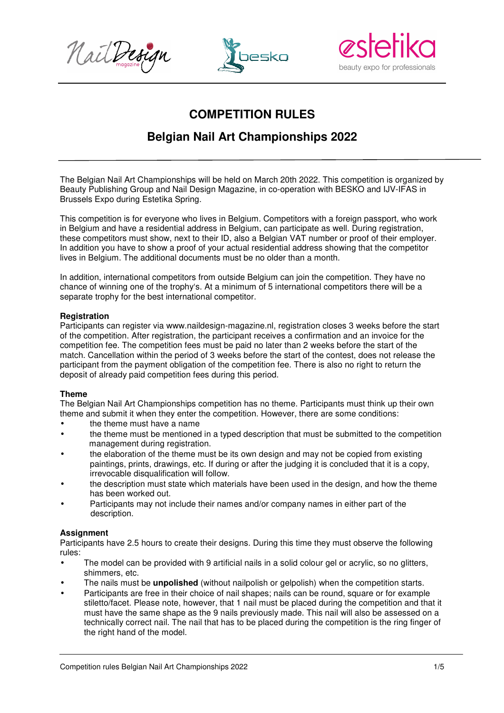





# **COMPETITION RULES**

## **Belgian Nail Art Championships 2022**

The Belgian Nail Art Championships will be held on March 20th 2022. This competition is organized by Beauty Publishing Group and Nail Design Magazine, in co-operation with BESKO and IJV-IFAS in Brussels Expo during Estetika Spring.

This competition is for everyone who lives in Belgium. Competitors with a foreign passport, who work in Belgium and have a residential address in Belgium, can participate as well. During registration, these competitors must show, next to their ID, also a Belgian VAT number or proof of their employer. In addition you have to show a proof of your actual residential address showing that the competitor lives in Belgium. The additional documents must be no older than a month.

In addition, international competitors from outside Belgium can join the competition. They have no chance of winning one of the trophy's. At a minimum of 5 international competitors there will be a separate trophy for the best international competitor.

#### **Registration**

Participants can register via www.naildesign-magazine.nl, registration closes 3 weeks before the start of the competition. After registration, the participant receives a confirmation and an invoice for the competition fee. The competition fees must be paid no later than 2 weeks before the start of the match. Cancellation within the period of 3 weeks before the start of the contest, does not release the participant from the payment obligation of the competition fee. There is also no right to return the deposit of already paid competition fees during this period.

## **Theme**

The Belgian Nail Art Championships competition has no theme. Participants must think up their own theme and submit it when they enter the competition. However, there are some conditions:

- the theme must have a name
- the theme must be mentioned in a typed description that must be submitted to the competition management during registration.
- the elaboration of the theme must be its own design and may not be copied from existing paintings, prints, drawings, etc. If during or after the judging it is concluded that it is a copy, irrevocable disqualification will follow.
- the description must state which materials have been used in the design, and how the theme has been worked out.
- Participants may not include their names and/or company names in either part of the description.

## **Assignment**

Participants have 2.5 hours to create their designs. During this time they must observe the following rules:

- The model can be provided with 9 artificial nails in a solid colour gel or acrylic, so no glitters, shimmers, etc.
- The nails must be **unpolished** (without nailpolish or gelpolish) when the competition starts.
- Participants are free in their choice of nail shapes; nails can be round, square or for example stiletto/facet. Please note, however, that 1 nail must be placed during the competition and that it must have the same shape as the 9 nails previously made. This nail will also be assessed on a technically correct nail. The nail that has to be placed during the competition is the ring finger of the right hand of the model.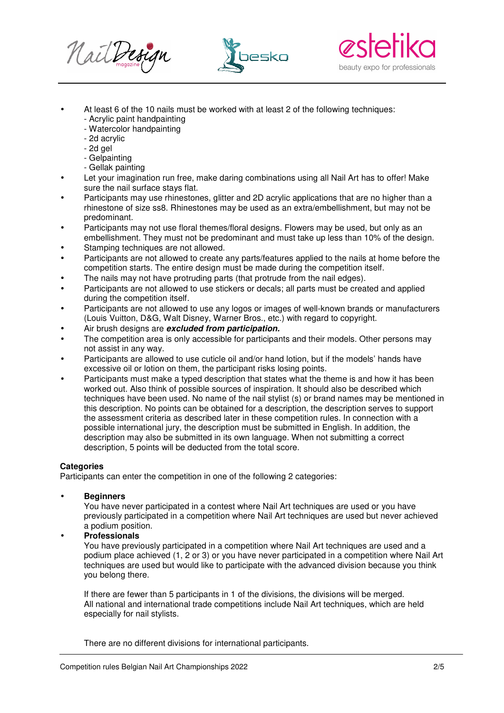





- At least 6 of the 10 nails must be worked with at least 2 of the following techniques:
	- Acrylic paint handpainting
	- Watercolor handpainting
	- 2d acrylic
	- 2d gel
	- Gelpainting
	- Gellak painting
- Let your imagination run free, make daring combinations using all Nail Art has to offer! Make sure the nail surface stays flat.
- Participants may use rhinestones, glitter and 2D acrylic applications that are no higher than a rhinestone of size ss8. Rhinestones may be used as an extra/embellishment, but may not be predominant.
- Participants may not use floral themes/floral designs. Flowers may be used, but only as an embellishment. They must not be predominant and must take up less than 10% of the design.
- Stamping techniques are not allowed.
- Participants are not allowed to create any parts/features applied to the nails at home before the competition starts. The entire design must be made during the competition itself.
- The nails may not have protruding parts (that protrude from the nail edges).
- Participants are not allowed to use stickers or decals; all parts must be created and applied during the competition itself.
- Participants are not allowed to use any logos or images of well-known brands or manufacturers (Louis Vuitton, D&G, Walt Disney, Warner Bros., etc.) with regard to copyright.
- Air brush designs are **excluded from participation.**
- The competition area is only accessible for participants and their models. Other persons may not assist in any way.
- Participants are allowed to use cuticle oil and/or hand lotion, but if the models' hands have excessive oil or lotion on them, the participant risks losing points.
- Participants must make a typed description that states what the theme is and how it has been worked out. Also think of possible sources of inspiration. It should also be described which techniques have been used. No name of the nail stylist (s) or brand names may be mentioned in this description. No points can be obtained for a description, the description serves to support the assessment criteria as described later in these competition rules. In connection with a possible international jury, the description must be submitted in English. In addition, the description may also be submitted in its own language. When not submitting a correct description, 5 points will be deducted from the total score.

## **Categories**

Participants can enter the competition in one of the following 2 categories:

## • **Beginners**

You have never participated in a contest where Nail Art techniques are used or you have previously participated in a competition where Nail Art techniques are used but never achieved a podium position.

## • **Professionals**

You have previously participated in a competition where Nail Art techniques are used and a podium place achieved (1, 2 or 3) or you have never participated in a competition where Nail Art techniques are used but would like to participate with the advanced division because you think you belong there.

If there are fewer than 5 participants in 1 of the divisions, the divisions will be merged. All national and international trade competitions include Nail Art techniques, which are held especially for nail stylists.

There are no different divisions for international participants.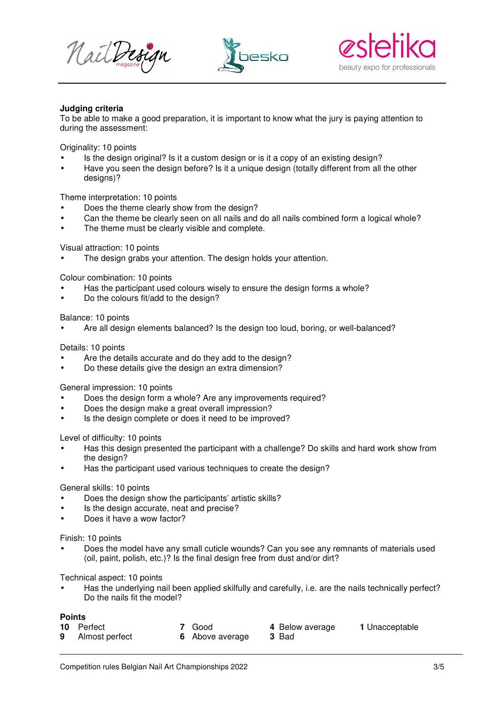





#### **Judging criteria**

To be able to make a good preparation, it is important to know what the jury is paying attention to during the assessment:

Originality: 10 points

- Is the design original? Is it a custom design or is it a copy of an existing design?
- Have you seen the design before? Is it a unique design (totally different from all the other designs)?

Theme interpretation: 10 points

- Does the theme clearly show from the design?
- Can the theme be clearly seen on all nails and do all nails combined form a logical whole?
- The theme must be clearly visible and complete.

Visual attraction: 10 points

The design grabs your attention. The design holds your attention.

Colour combination: 10 points

- Has the participant used colours wisely to ensure the design forms a whole?
- Do the colours fit/add to the design?

Balance: 10 points

• Are all design elements balanced? Is the design too loud, boring, or well-balanced?

Details: 10 points

- Are the details accurate and do they add to the design?
- Do these details give the design an extra dimension?

General impression: 10 points

- Does the design form a whole? Are any improvements required?
- Does the design make a great overall impression?
- Is the design complete or does it need to be improved?

Level of difficulty: 10 points

- Has this design presented the participant with a challenge? Do skills and hard work show from the design?
- Has the participant used various techniques to create the design?

General skills: 10 points

- Does the design show the participants' artistic skills?
- Is the design accurate, neat and precise?
- Does it have a wow factor?

Finish: 10 points

• Does the model have any small cuticle wounds? Can you see any remnants of materials used (oil, paint, polish, etc.)? Is the final design free from dust and/or dirt?

Technical aspect: 10 points

• Has the underlying nail been applied skilfully and carefully, i.e. are the nails technically perfect? Do the nails fit the model?

## **Points**

- 
- **9** Almost perfect **6** Above average
- **10** Perfect **7** Good **4** Below average **1** Unacceptable
	-
- Competition rules Belgian Nail Art Championships 2022 3/5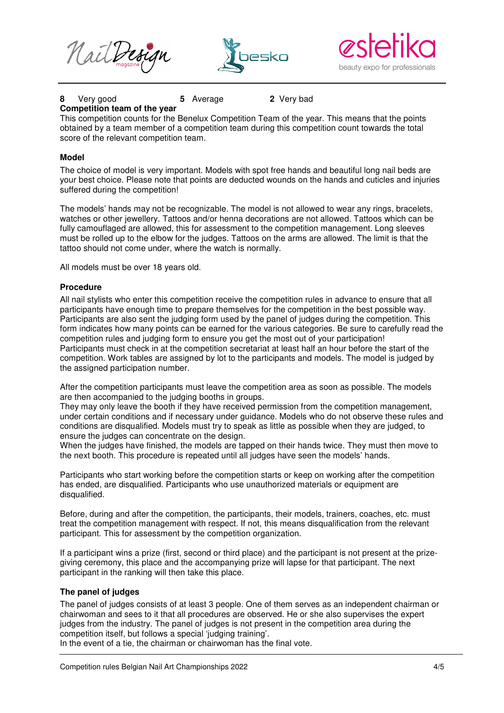



## **8** Very good **5** Average **2** Very bad

#### **Competition team of the year**

This competition counts for the Benelux Competition Team of the year. This means that the points obtained by a team member of a competition team during this competition count towards the total score of the relevant competition team.

#### **Model**

The choice of model is very important. Models with spot free hands and beautiful long nail beds are your best choice. Please note that points are deducted wounds on the hands and cuticles and injuries suffered during the competition!

The models' hands may not be recognizable. The model is not allowed to wear any rings, bracelets, watches or other jewellery. Tattoos and/or henna decorations are not allowed. Tattoos which can be fully camouflaged are allowed, this for assessment to the competition management. Long sleeves must be rolled up to the elbow for the judges. Tattoos on the arms are allowed. The limit is that the tattoo should not come under, where the watch is normally.

All models must be over 18 years old.

#### **Procedure**

All nail stylists who enter this competition receive the competition rules in advance to ensure that all participants have enough time to prepare themselves for the competition in the best possible way. Participants are also sent the judging form used by the panel of judges during the competition. This form indicates how many points can be earned for the various categories. Be sure to carefully read the competition rules and judging form to ensure you get the most out of your participation! Participants must check in at the competition secretariat at least half an hour before the start of the competition. Work tables are assigned by lot to the participants and models. The model is judged by the assigned participation number.

After the competition participants must leave the competition area as soon as possible. The models are then accompanied to the judging booths in groups.

They may only leave the booth if they have received permission from the competition management, under certain conditions and if necessary under guidance. Models who do not observe these rules and conditions are disqualified. Models must try to speak as little as possible when they are judged, to ensure the judges can concentrate on the design.

When the judges have finished, the models are tapped on their hands twice. They must then move to the next booth. This procedure is repeated until all judges have seen the models' hands.

Participants who start working before the competition starts or keep on working after the competition has ended, are disqualified. Participants who use unauthorized materials or equipment are disqualified.

Before, during and after the competition, the participants, their models, trainers, coaches, etc. must treat the competition management with respect. If not, this means disqualification from the relevant participant. This for assessment by the competition organization.

If a participant wins a prize (first, second or third place) and the participant is not present at the prizegiving ceremony, this place and the accompanying prize will lapse for that participant. The next participant in the ranking will then take this place.

#### **The panel of judges**

The panel of judges consists of at least 3 people. One of them serves as an independent chairman or chairwoman and sees to it that all procedures are observed. He or she also supervises the expert judges from the industry. The panel of judges is not present in the competition area during the competition itself, but follows a special 'judging training'.

In the event of a tie, the chairman or chairwoman has the final vote.